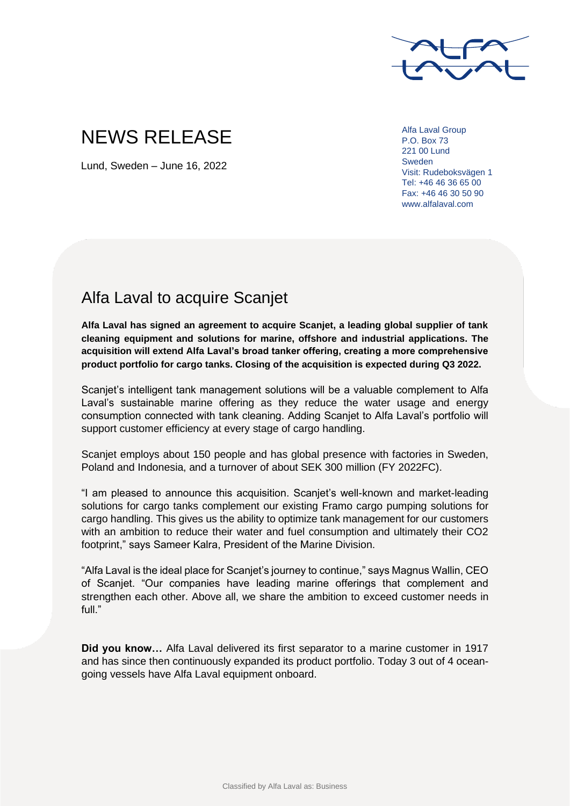

## NEWS RELEASE

Lund, Sweden – June 16, 2022

Alfa Laval Group P.O. Box 73 221 00 Lund Sweden Visit: Rudeboksvägen 1 Tel: +46 46 36 65 00 Fax: +46 46 30 50 90 www.alfalaval.com

## Alfa Laval to acquire Scanjet

**Alfa Laval has signed an agreement to acquire Scanjet, a leading global supplier of tank cleaning equipment and solutions for marine, offshore and industrial applications. The acquisition will extend Alfa Laval's broad tanker offering, creating a more comprehensive product portfolio for cargo tanks. Closing of the acquisition is expected during Q3 2022.**

Scanjet's intelligent tank management solutions will be a valuable complement to Alfa Laval's sustainable marine offering as they reduce the water usage and energy consumption connected with tank cleaning. Adding Scanjet to Alfa Laval's portfolio will support customer efficiency at every stage of cargo handling.

Scanjet employs about 150 people and has global presence with factories in Sweden, Poland and Indonesia, and a turnover of about SEK 300 million (FY 2022FC).

"I am pleased to announce this acquisition. Scanjet's well-known and market-leading solutions for cargo tanks complement our existing Framo cargo pumping solutions for cargo handling. This gives us the ability to optimize tank management for our customers with an ambition to reduce their water and fuel consumption and ultimately their CO2 footprint," says Sameer Kalra, President of the Marine Division.

"Alfa Laval is the ideal place for Scanjet's journey to continue," says Magnus Wallin, CEO of Scanjet. "Our companies have leading marine offerings that complement and strengthen each other. Above all, we share the ambition to exceed customer needs in full."

**Did you know…** Alfa Laval delivered its first separator to a marine customer in 1917 and has since then continuously expanded its product portfolio. Today 3 out of 4 oceangoing vessels have Alfa Laval equipment onboard.